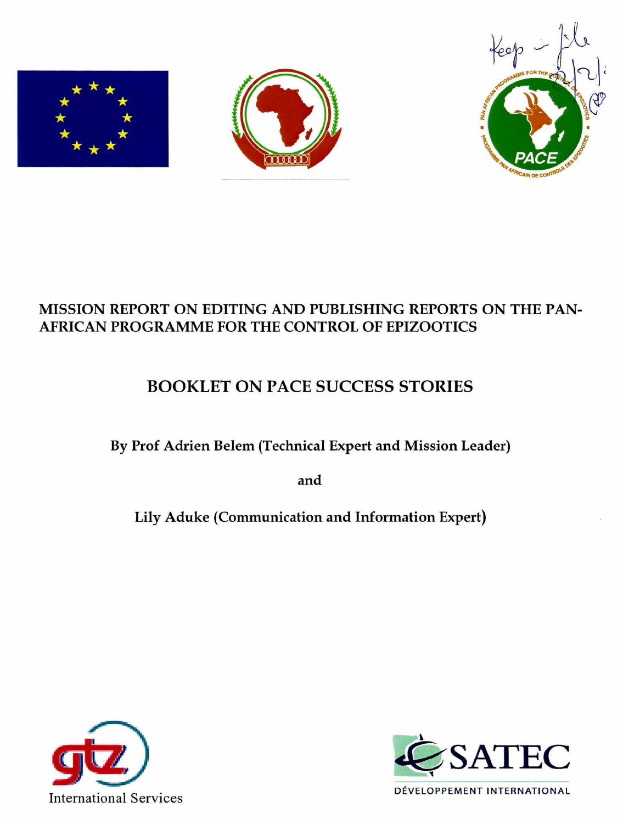





# **MISSION REPORT ON EDITING AND PUBLISHING REPORTS ON THE PAN-AFRICAN PROGRAMME FOR THE CONTROL OF EPIZOOTICS**

# BOOKLET ON PACE SUCCESS STORIES

**By Prof Adrien Belem (Technical Expert and Mission Leader)** 

**and** 

**Lily Aduke (Communication and Information Expert)** 



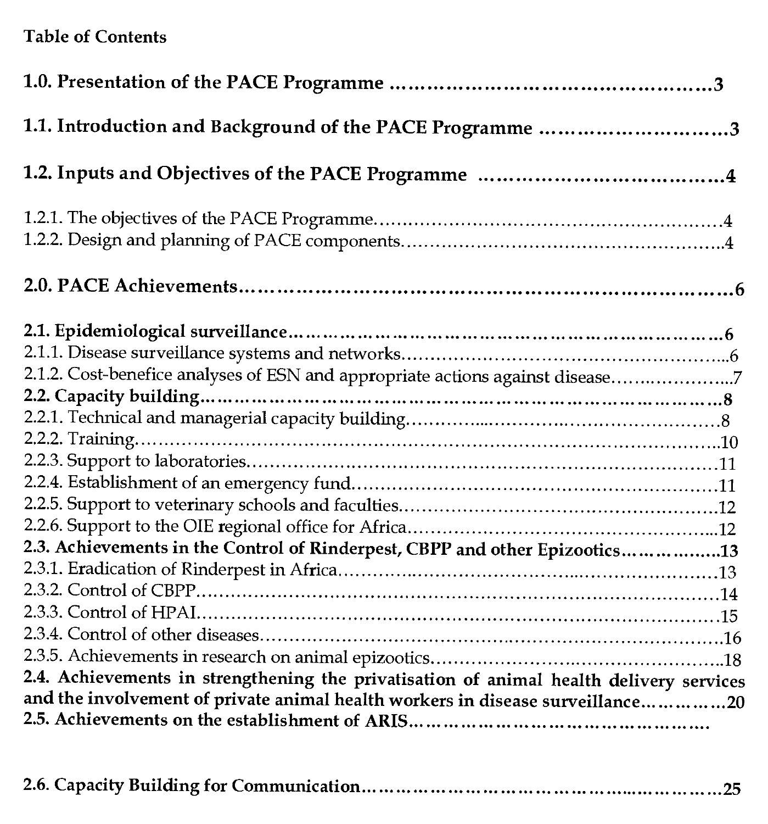# **Table of Contents**

| 1.1. Introduction and Background of the PACE Programme 3                                                                                                                                                                                                 |
|----------------------------------------------------------------------------------------------------------------------------------------------------------------------------------------------------------------------------------------------------------|
|                                                                                                                                                                                                                                                          |
|                                                                                                                                                                                                                                                          |
|                                                                                                                                                                                                                                                          |
| 2.1.2. Cost-benefice analyses of ESN and appropriate actions against disease7                                                                                                                                                                            |
| 2.3. Achievements in the Control of Rinderpest, CBPP and other Epizootics13<br>2.4. Achievements in strengthening the privatisation of animal health delivery services<br>and the involvement of private animal health workers in disease surveillance20 |

**2.6. Capacity Building for Communication...............................................................25**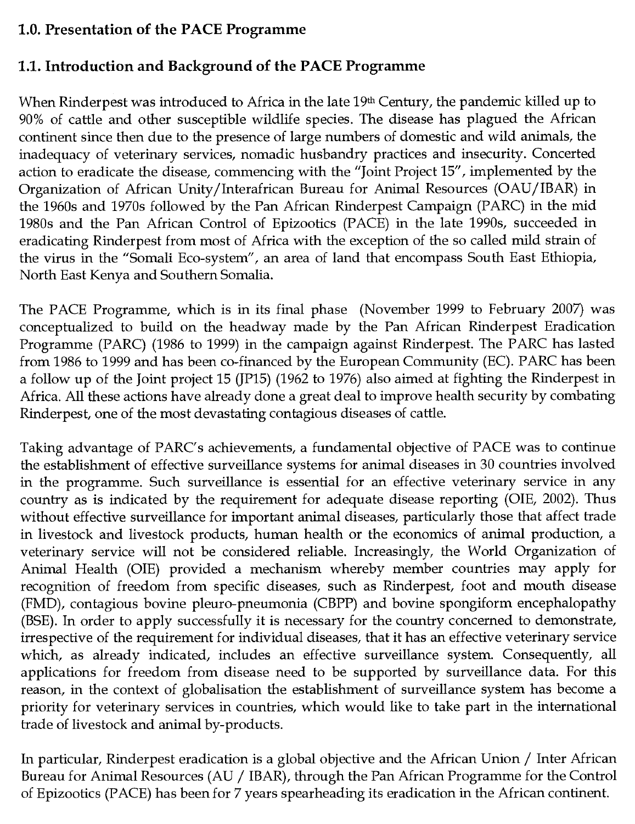# **1.0. Presentation of the PACE Programme**

# **1.1. Introduction and Background of the PACE Programme**

When Rinderpest was introduced to Africa in the late 19th Century, the pandemic killed up to 90% of cattle and other susceptible wildlife species. The disease has plagued the African continent since then due to the presence of large numbers of domestic and wild animals, the inadequacy of veterinary services, nomadic husbandry practices and insecurity. Concerted action to eradicate the disease, commencing with the "Joint Project 15", implemented by the Organization of African Unity/ Interafrican Bureau for Animal Resources (OAU/IBAR) in the 1960s and 1970s followed by the Pan African Rinderpest Campaign (PARC) in the mid 1980s and the Pan African Control of Epizootics (PACE) in the late 1990s, succeeded in eradicating Rinderpest from most of Africa with the exception of the so called mild strain of the virus in the "Somali Eco-system", an area of land that encompass South East Ethiopia, North East Kenya and Southern Somalia.

The PACE Programme, which is in its final phase (November 1999 to February 2007) was conceptualized to build on the headway made by the Pan African Rinderpest Eradication Programme (PARC) (1986 to 1999) in the campaign against Rinderpest. The PARC has lasted from 1986 to 1999 and has been co-financed by the European Community (EC). PARC has been a follow up of the Joint project 15 (JP15) (1962 to 1976) also aimed at fighting the Rinderpest in Africa. All these actions have already done a great deal to improve health security by combating Rinderpest, one of the most devastating contagious diseases of cattle.

Taking advantage of PARC's achievements, a fundamental objective of PACE was to continue the establishment of effective surveillance systems for animal diseases in 30 countries involved in the programme. Such surveillance is essential for an effective veterinary service in any country as is indicated by the requirement for adequate disease reporting (OIE, 2002). Thus without effective surveillance for important animal diseases, particularly those that affect trade in livestock and livestock products, human health or the economics of animal production, a veterinary service will not be considered reliable. Increasingly, the World Organization of Animal Health (OIE) provided a mechanism whereby member countries may apply for recognition of freedom from specific diseases, such as Rinderpest, foot and mouth disease (FMD), contagious bovine pleuro-pneumonia (CBPP) and bovine spongiform encephalopathy (BSE). In order to apply successfully it is necessary for the country concerned to demonstrate, irrespective of the requirement for individual diseases, that it has an effective veterinary service which, as already indicated, includes an effective surveillance system. Consequently, all applications for freedom from disease need to be supported by surveillance data. For this reason, in the context of globalisation the establishment of surveillance system has become a priority for veterinary services in countries, which would like to take part in the international trade of livestock and animal by-products.

In particular, Rinderpest eradication is a global objective and the African Union / Inter African Bureau for Animal Resources (AU / IBAR), through the Pan African Programme for the Control of Epizootics (PACE) has been for 7 years spearheading its eradication in the African continent.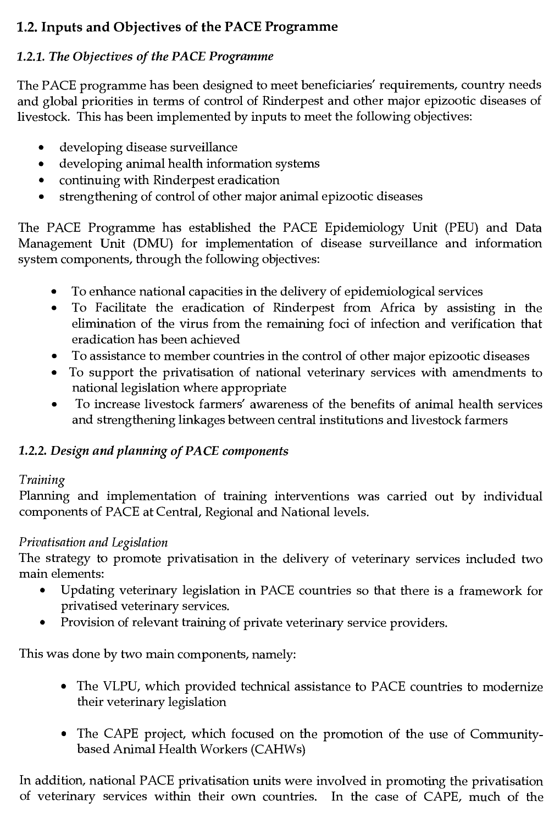# 1.2. Inputs and Objectives of the PACE Programme

# *1.2.1. The Objectives of the PACE Programme*

The PACE programme has been designed to meet beneficiaries' requirements, country needs and global priorities in terms of control of Rinderpest and other major epizootic diseases of livestock. This has been implemented by inputs to meet the following objectives:

- developing disease surveillance
- developing animal health information systems
- continuing with Rinderpest eradication
- strengthening of control of other major animal epizootic diseases

The PACE Programme has established the PACE Epidemiology Unit (PEU) and Data Management Unit (DMU) for implementation of disease surveillance and information system components, through the following objectives:

- To enhance national capacities in the delivery of epidemiological services
- To Facilitate the eradication of Rinderpest from Africa by assisting in the elimination of the virus from the remaining foci of infection and verification that eradication has been achieved
- To assistance to member countries in the control of other major epizootic diseases
- To support the privatisation of national veterinary services with amendments to national legislation where appropriate
- To increase livestock farmers' awareness of the benefits of animal health services and strengthening linkages between central institutions and livestock farmers

# *1.2.2. Design and planning of PACE components*

# *Training*

Planning and implementation of training interventions was carried out by individual components of PACE at Central, Regional and National levels.

# *Privatisation and Legislation*

The strategy to promote privatisation in the delivery of veterinary services included two main elements:

- Updating veterinary legislation in PACE countries so that there is a framework for privatised veterinary services.
- Provision of relevant training of private veterinary service providers.

This was done by two main components, namely:

- The VLPU, which provided technical assistance to PACE countries to modernize their veterinary legislation
- The CAPE project, which focused on the promotion of the use of Communitybased Animal Health Workers (CAHWs)

In addition, national PACE privatisation units were involved in promoting the privatisation of veterinary services within their own countries. In the case of CAPE, much of the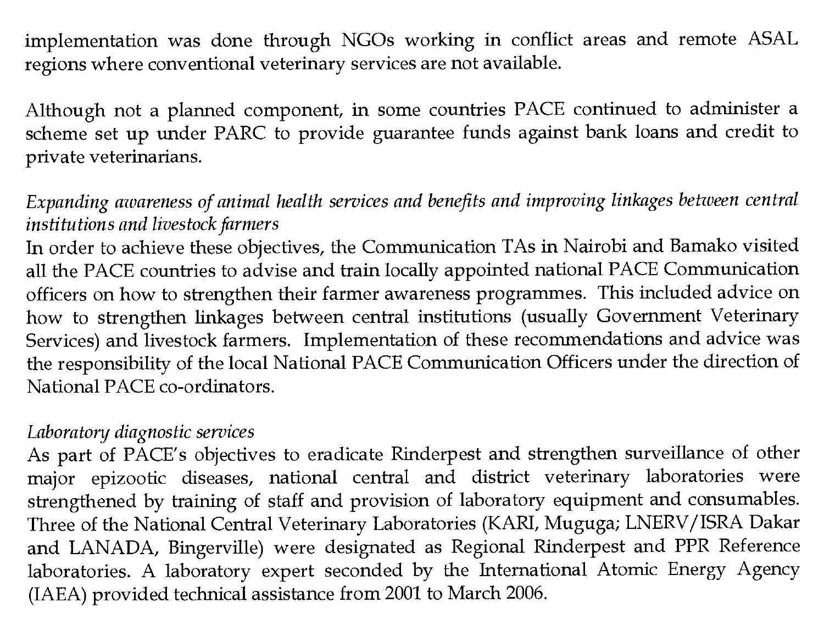implementation was done through NGOs working in conflict areas and remote ASAL regions where conventional veterinary services are not available.

Although not a planned component, in some countries PACE continued to administer a scheme set up under PARC to provide guarantee funds against bank loans and credit to private veterinarians.

#### *Expanding awareness of animal health services and benefits and improving linkages between central institutions and livestock farmers*

In order to achieve these objectives, the Communication TAs in Nairobi and Bamako visited all the PACE countries to advise and train locally appointed national PACE Communication officers on how to strengthen their farmer awareness programmes. This included advice on how to strengthen linkages between central institutions (usually Government Veterinary Services) and livestock farmers. Implementation of these recommendations and advice was the responsibility of the local National PACE Communication Officers under the direction of National PACE co-ordinators.

#### *Laboratory diagnostic services*

As part of PACE's objectives to eradicate Rinderpest and strengthen surveillance of other major epizootic diseases, national central and district veterinary laboratories were strengthened by training of staff and provision of laboratory equipment and consumables. Three of the National Central Veterinary Laboratories (KARI, Muguga; LNERV/ISRA Dakar and LANADA, Bingerville) were designated as Regional Rinderpest and PPR Reference laboratories. A laboratory expert seconded by the International Atomic Energy Agency (IAEA) provided technical assistance from 2001 to March 2006.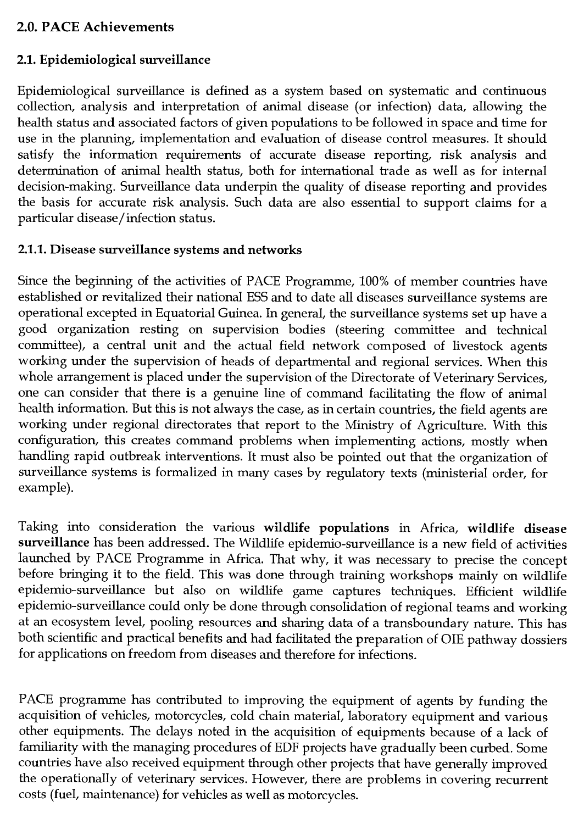# 2.0. PACE Achievements

### 2.1. Epidemiological surveillance

Epidemiological surveillance is defined as a system based on systematic and continuous collection, analysis and interpretation of animal disease (or infection) data, allowing the health status and associated factors of given populations to be followed in space and time for use in the planning, implementation and evaluation of disease control measures. It should satisfy the information requirements of accurate disease reporting, risk analysis and determination of animal health status, both for international trade as well as for internal decision-making. Surveillance data underpin the quality of disease reporting and provides the basis for accurate risk analysis. Such data are also essential to support claims for a particular disease/infection status.

### 2.1.1. Disease surveillance systems and networks

Since the beginning of the activities of PACE Programme, 100% of member countries have established or revitalized their national ESS and to date all diseases surveillance systems are operational excepted in Equatorial Guinea. In general, the surveillance systems set up have a good organization resting on supervision bodies (steering committee and technical committee), a central unit and the actual field network composed of livestock agents working under the supervision of heads of departmental and regional services. When this whole arrangement is placed under the supervision of the Directorate of Veterinary Services, one can consider that there is a genuine line of command facilitating the flow of animal health information. But this is not always the case, as in certain countries, the field agents are working under regional directorates that report to the Ministry of Agriculture. With this configuration, this creates command problems when implementing actions, mostly when handling rapid outbreak interventions. It must also be pointed out that the organization of surveillance systems is formalized in many cases by regulatory texts (ministerial order, for example).

Taking into consideration the various wildlife populations in Africa, wildlife disease surveillance has been addressed. The Wildlife epidemio-surveillance is a new field of activities launched by PACE Programme in Africa. That why, it was necessary to precise the concept before bringing it to the field. This was done through training workshops mainly on wildlife epidemio-surveillance but also on wildlife game captures techniques. Efficient wildlife epidemio-surveillance could only be done through consolidation of regional teams and working at an ecosystem level, pooling resources and sharing data of a transboundary nature. This has both scientific and practical benefits and had facilitated the preparation of OIE pathway dossiers for applications on freedom from diseases and therefore for infections.

PACE programme has contributed to improving the equipment of agents by funding the acquisition of vehicles, motorcycles, cold chain material, laboratory equipment and various other equipments. The delays noted in the acquisition of equipments because of a lack of familiarity with the managing procedures of EDF projects have gradually been curbed. Some countries have also received equipment through other projects that have generally improved the operationally of veterinary services. However, there are problems in covering recurrent costs (fuel, maintenance) for vehicles as well as motorcycles.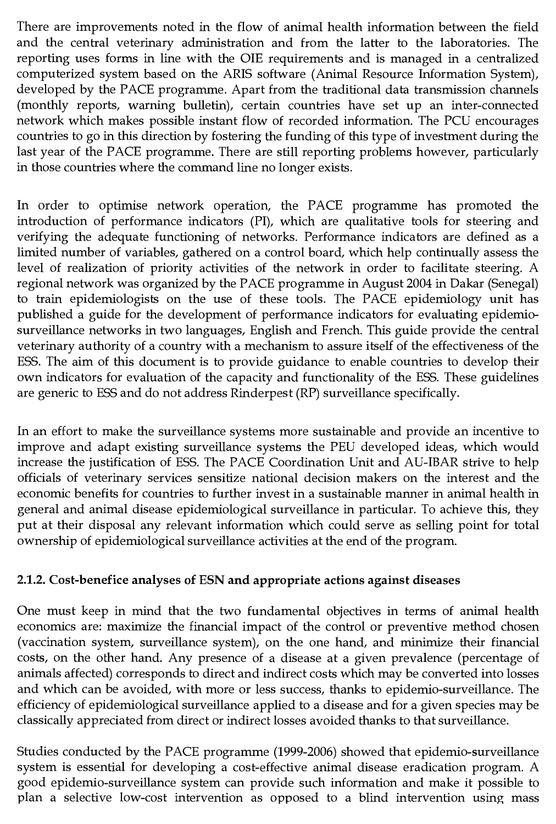There are improvements noted in the flow of animal health information between the field and the central veterinary administration and from the latter to the laboratories. The reporting uses forms in line with the OIE requirements and is managed in a centralized computerized system based on the ARIS software (Animal Resource Information System), developed by the PACE programme. Apart from the traditional data transmission channels (monthly reports, warning bulletin), certain countries have set up an inter-connected network which makes possible instant flow of recorded information. The PCU encourages countries to go in this direction by fostering the funding of this type of investment during the last year of the PACE programme. There are still reporting problems however, particularly in those countries where the command line no longer exists.

In order to optimise network operation, the PACE programme has promoted the introduction of performance indicators (PI), which are qualitative tools for steering and verifying the adequate functioning of networks. Performance indicators are defined as a limited number of variables, gathered on a control board, which help continually assess the level of realization of priority activities of the network in order to facilitate steering. A regional network was organized by the PACE programme in August 2004 in Dakar (Senegal) to train epidemiologists on the use of these tools. The PACE epidemiology unit has published a guide for the development of performance indicators for evaluating epidemiosurveillance networks in two languages, English and French. This guide provide the central veterinary authority of a country with a mechanism to assure itself of the effectiveness of the ESS. The aim of this document is to provide guidance to enable countries to develop their own indicators for evaluation of the capacity and functionality of the ESS. These guidelines are generic to ESS and do not address Rinderpest (RP) surveillance specifically.

In an effort to make the surveillance systems more sustainable and provide an incentive to improve and adapt existing surveillance systems the PEU developed ideas, which would increase the justification of ESS. The PACE Coordination Unit and AU-IBAR strive to help officials of veterinary services sensitize national decision makers on the interest and the economic benefits for countries to further invest in a sustainable manner in animal health in general and animal disease epidemiological surveillance in particular. To achieve this, they put at their disposal any relevant information which could serve as selling point for total ownership of epidemiological surveillance activities at the end of the program.

#### **2.1.2. Cost-benefice analyses of ESN and appropriate actions against diseases**

One must keep in mind that the two fundamental objectives in terms of animal health economics are: maximize the financial impact of the control or preventive method chosen (vaccination system, surveillance system), on the one hand, and minimize their financial costs, on the other hand. Any presence of a disease at a given prevalence (percentage of animals affected) corresponds to direct and indirect costs which may be converted into losses and which can be avoided, with more or less success, thanks to epidemio-surveillance. The efficiency of epidemiological surveillance applied to a disease and for a given species may be classically appreciated from direct or indirect losses avoided thanks to that surveillance.

Studies conducted by the PACE programme (1999-2006) showed that epidemio-surveillance system is essential for developing a cost-effective animal disease eradication program. A good epidemio-surveillance system can provide such information and make it possible to plan a selective low-cost intervention as opposed to a blind intervention using mass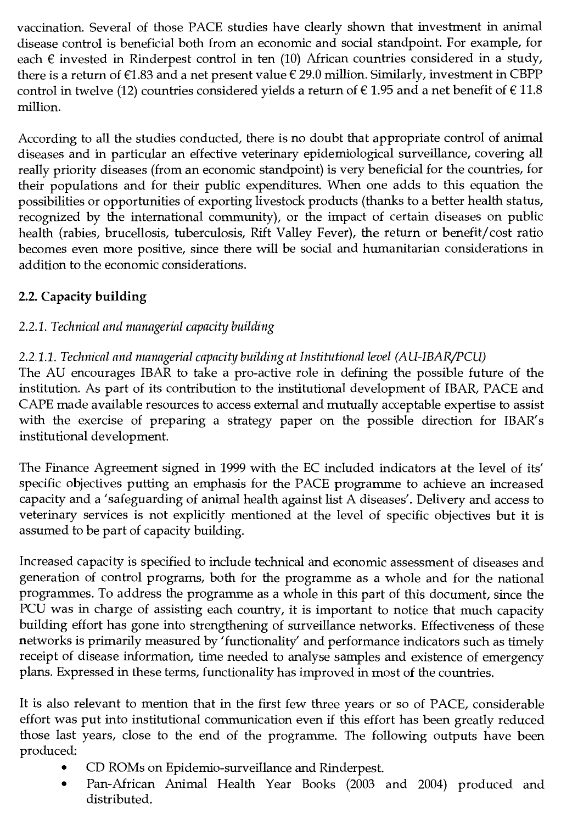vaccination. Several of those PACE studies have clearly shown that investment in animal disease control is beneficial both from an economic and social standpoint. For example, for each  $\epsilon$  invested in Rinderpest control in ten (10) African countries considered in a study, there is a return of  $E1.83$  and a net present value  $E29.0$  million. Similarly, investment in CBPP control in twelve (12) countries considered yields a return of  $\epsilon$  1.95 and a net benefit of  $\epsilon$  11.8 million.

According to all the studies conducted, there is no doubt that appropriate control of animal diseases and in particular an effective veterinary epidemiological surveillance, covering all really priority diseases (from an economic standpoint) is very beneficial for the countries, for their populations and for their public expenditures. When one adds to this equation the possibilities or opportunities of exporting livestock products (thanks to a better health status, recognized by the international community), or the impact of certain diseases on public health (rabies, brucellosis, tuberculosis, Rift Valley Fever), the return or benefit/cost ratio becomes even more positive, since there will be social and humanitarian considerations in addition to the economic considerations.

# 2.2. Capacity building

# *2.2.1. Technical and managerial capacity building*

# *2.2.1.1. Technical and managerial capacity building at Institutional level (AU-IBAR/PCU)*

The AU encourages IBAR to take a pro-active role in defining the possible future of the institution. As part of its contribution to the institutional development of IBAR, PACE and CAPE made available resources to access external and mutually acceptable expertise to assist with the exercise of preparing a strategy paper on the possible direction for IBAR's institutional development.

The Finance Agreement signed in 1999 with the EC included indicators at the level of its' specific objectives putting an emphasis for the PACE programme to achieve an increased capacity and a 'safeguarding of animal health against list A diseases'. Delivery and access to veterinary services is not explicitly mentioned at the level of specific objectives but it is assumed to be part of capacity building.

Increased capacity is specified to include technical and economic assessment of diseases and generation of control programs, both for the programme as a whole and for the national programmes. To address the programme as a whole in this part of this document, since the PCU was in charge of assisting each country, it is important to notice that much capacity building effort has gone into strengthening of surveillance networks. Effectiveness of these networks is primarily measured by 'functionality' and performance indicators such as timely receipt of disease information, time needed to analyse samples and existence of emergency plans. Expressed in these terms, functionality has improved in most of the countries.

It is also relevant to mention that in the first few three years or so of PACE, considerable effort was put into institutional communication even if this effort has been greatly reduced those last years, close to the end of the programme. The following outputs have been produced:

- CD ROMs on Epidemio-surveillance and Rinderpest.
- Pan-African Animal Health Year Books (2003 and 2004) produced and distributed.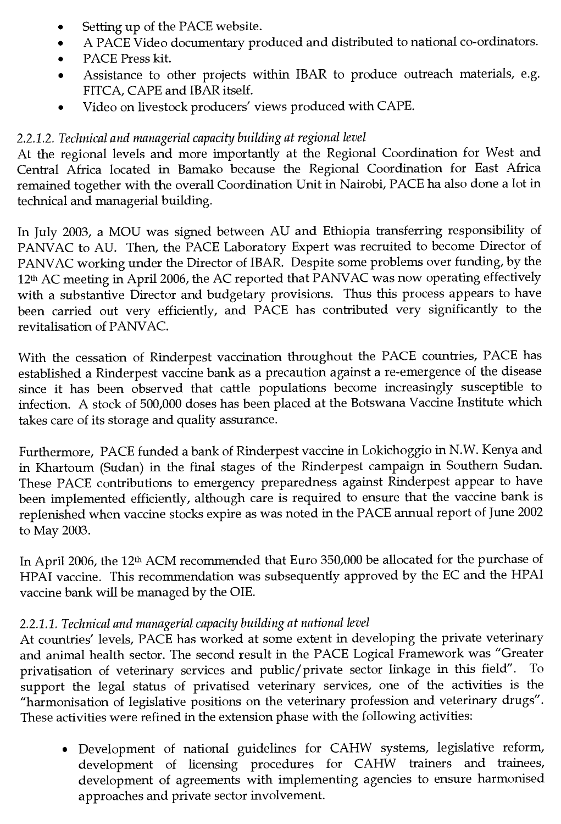- Setting up of the PACE website.
- A PACE Video documentary produced and distributed to national co-ordinators.
- PACE Press kit.
- Assistance to other projects within IBAR to produce outreach materials, e.g. FITCA, CAPE and IBAR itself.
- Video on livestock producers' views produced with CAPE.

# *2.2.1.2. Technical and managerial capacity building at regional level*

At the regional levels and more importantly at the Regional Coordination for West and Central Africa located in Bamako because the Regional Coordination for East Africa remained together with the overall Coordination Unit in Nairobi, PACE ha also done a lot in technical and managerial building.

In July 2003, a MOU was signed between AU and Ethiopia transferring responsibility of PANVAC to AU. Then, the PACE Laboratory Expert was recruited to become Director of PANVAC working under the Director of IBAR. Despite some problems over funding, by the 12th AC meeting in April 2006, the AC reported that PANVAC was now operating effectively with a substantive Director and budgetary provisions. Thus this process appears to have been carried out very efficiently, and PACE has contributed very significantly to the revitalisation of PANVAC.

With the cessation of Rinderpest vaccination throughout the PACE countries, PACE has established a Rinderpest vaccine bank as a precaution against a re-emergence of the disease since it has been observed that cattle populations become increasingly susceptible to infection. A stock of 500,000 doses has been placed at the Botswana Vaccine Institute which takes care of its storage and quality assurance.

Furthermore, PACE funded a bank of Rinderpest vaccine in Lokichoggio in N.W. Kenya and in Khartoum (Sudan) in the final stages of the Rinderpest campaign in Southern Sudan. These PACE contributions to emergency preparedness against Rinderpest appear to have been implemented efficiently, although care is required to ensure that the vaccine bank is replenished when vaccine stocks expire as was noted in the PACE annual report of June 2002 to May 2003.

In April 2006, the 12th ACM recommended that Euro 350,000 be allocated for the purchase of HPAI vaccine. This recommendation was subsequently approved by the EC and the HPAI vaccine bank will be managed by the OIE.

# *2.2.1.1. Technical and managerial capacity building at national level*

At countries' levels, PACE has worked at some extent in developing the private veterinary and animal health sector. The second result in the PACE Logical Framework was "Greater privatisation of veterinary services and public/private sector linkage in this field". To support the legal status of privatised veterinary services, one of the activities is the "harmonisation of legislative positions on the veterinary profession and veterinary drugs". These activities were refined in the extension phase with the following activities:

• Development of national guidelines for CAHW systems, legislative reform, development of licensing procedures for CAHW trainers and trainees, development of agreements with implementing agencies to ensure harmonised approaches and private sector involvement.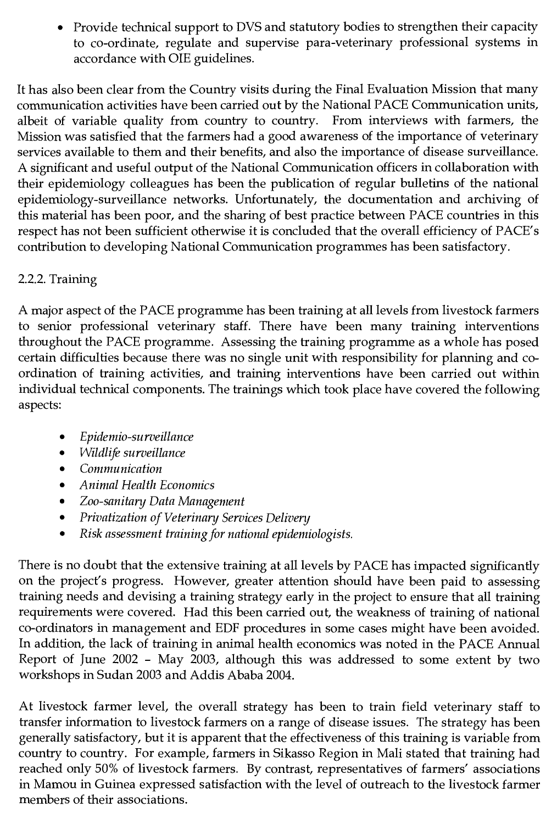• Provide technical support to DVS and statutory bodies to strengthen their capacity to co-ordinate, regulate and supervise para-veterinary professional systems in accordance with OIE guidelines.

It has also been clear from the Country visits during the Final Evaluation Mission that many communication activities have been carried out by the National PACE Communication units, albeit of variable quality from country to country. From interviews with farmers, the Mission was satisfied that the farmers had a good awareness of the importance of veterinary services available to them and their benefits, and also the importance of disease surveillance. A significant and useful output of the National Communication officers in collaboration with their epidemiology colleagues has been the publication of regular bulletins of the national epidemiology-surveillance networks. Unfortunately, the documentation and archiving of this material has been poor, and the sharing of best practice between PACE countries in this respect has not been sufficient otherwise it is concluded that the overall efficiency of PACE's contribution to developing National Communication programmes has been satisfactory.

# 2.2.2. Training

A major aspect of the PACE programme has been training at all levels from livestock farmers to senior professional veterinary staff. There have been many training interventions throughout the PACE programme. Assessing the training programme as a whole has posed certain difficulties because there was no single unit with responsibility for planning and coordination of training activities, and training interventions have been carried out within individual technical components. The trainings which took place have covered the following aspects:

- *Epidemio-surveillance*
- *Wildlife surveillance*
- *Communication*
- *Animal Health Economics*
- *Zoo-sanitary Data Management*
- *Privatization of Veterinary Services Delivery*
- *Risk assessment training for national epidemiologists.*

There is no doubt that the extensive training at all levels by PACE has impacted significantly on the project's progress. However, greater attention should have been paid to assessing training needs and devising a training strategy early in the project to ensure that all training requirements were covered. Had this been carried out, the weakness of training of national co-ordinators in management and EDF procedures in some cases might have been avoided. In addition, the lack of training in animal health economics was noted in the PACE Annual Report of June 2002 - May 2003, although this was addressed to some extent by two workshops in Sudan 2003 and Addis Ababa 2004.

At livestock farmer level, the overall strategy has been to train field veterinary staff to transfer information to livestock farmers on a range of disease issues. The strategy has been generally satisfactory, but it is apparent that the effectiveness of this training is variable from country to country. For example, farmers in Sikasso Region in Mali stated that training had reached only 50% of livestock farmers. By contrast, representatives of farmers' associations in Mamou in Guinea expressed satisfaction with the level of outreach to the livestock farmer members of their associations.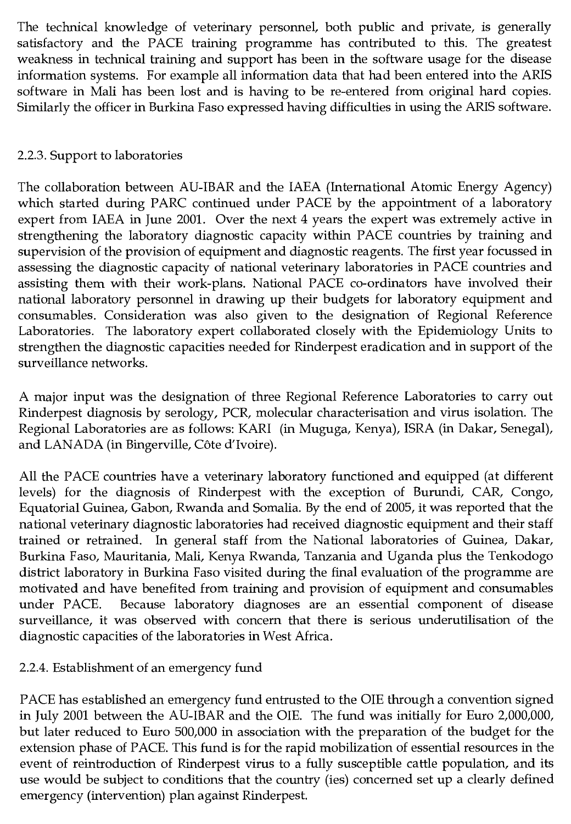The technical knowledge of veterinary personnel, both public and private, is generally satisfactory and the PACE training programme has contributed to this. The greatest weakness in technical training and support has been in the software usage for the disease information systems. For example all information data that had been entered into the ARIS software in Mali has been lost and is having to be re-entered from original hard copies. Similarly the officer in Burkina Faso expressed having difficulties in using the ARIS software.

### 2.2.3. Support to laboratories

The collaboration between AU-IBAR and the IAEA (International Atomic Energy Agency) which started during PARC continued under PACE by the appointment of a laboratory expert from IAEA in June 2001. Over the next 4 years the expert was extremely active in strengthening the laboratory diagnostic capacity within PACE countries by training and supervision of the provision of equipment and diagnostic reagents. The first year focussed in assessing the diagnostic capacity of national veterinary laboratories in PACE countries and assisting them with their work-plans. National PACE co-ordinators have involved their national laboratory personnel in drawing up their budgets for laboratory equipment and consumables. Consideration was also given to the designation of Regional Reference Laboratories. The laboratory expert collaborated closely with the Epidemiology Units to strengthen the diagnostic capacities needed for Rinderpest eradication and in support of the surveillance networks.

A major input was the designation of three Regional Reference Laboratories to carry out Rinderpest diagnosis by serology, PCR, molecular characterisation and virus isolation. The Regional Laboratories are as follows: KARI (in Muguga, Kenya), ISRA (in Dakar, Senegal), and LANADA (in Bingerville, Côte d'Ivoire).

All the PACE countries have a veterinary laboratory functioned and equipped (at different levels) for the diagnosis of Rinderpest with the exception of Burundi, CAR, Congo, Equatorial Guinea, Gabon, Rwanda and Somalia. By the end of 2005, it was reported that the national veterinary diagnostic laboratories had received diagnostic equipment and their staff trained or retrained. In general staff from the National laboratories of Guinea, Dakar, Burkina Faso, Mauritania, Mali, Kenya Rwanda, Tanzania and Uganda plus the Tenkodogo district laboratory in Burkina Faso visited during the final evaluation of the programme are motivated and have benefited from training and provision of equipment and consumables under PACE. Because laboratory diagnoses are an essential component of disease surveillance, it was observed with concern that there is serious underutilisation of the diagnostic capacities of the laboratories in West Africa.

### 2.2.4. Establishment of an emergency fund

PACE has established an emergency fund entrusted to the OIE through a convention signed in July 2001 between the AU-IBAR and the OIE. The fund was initially for Euro 2,000,000, but later reduced to Euro 500,000 in association with the preparation of the budget for the extension phase of PACE. This fund is for the rapid mobilization of essential resources in the event of reintroduction of Rinderpest virus to a fully susceptible cattle population, and its use would be subject to conditions that the country (ies) concerned set up a clearly defined emergency (intervention) plan against Rinderpest.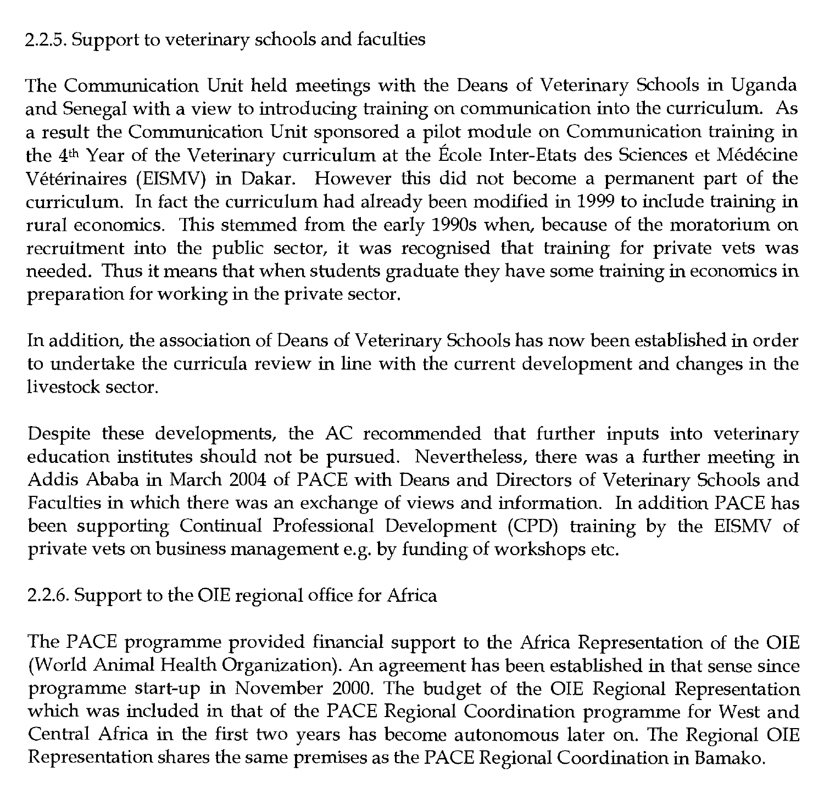#### 2.2.5. Support to veterinary schools and faculties

The Communication Unit held meetings with the Deans of Veterinary Schools in Uganda and Senegal with a view to introducing training on communication into the curriculum. As a result the Communication Unit sponsored a pilot module on Communication training in the 4th Year of the Veterinary curriculum at the Ecole Inter-Etats des Sciences et Medecine Veterinaires (EISMV) in Dakar. However this did not become a permanent part of the curriculum. In fact the curriculum had already been modified in 1999 to include training in rural economics. This stemmed from the early 1990s when, because of the moratorium on recruitment into the public sector, it was recognised that training for private vets was needed. Thus it means that when students graduate they have some training in economics in preparation for working in the private sector.

In addition, the association of Deans of Veterinary Schools has now been established in order to undertake the curricula review in line with the current development and changes in the livestock sector.

Despite these developments, the AC recommended that further inputs into veterinary education institutes should not be pursued. Nevertheless, there was a further meeting in Addis Ababa in March 2004 of PACE with Deans and Directors of Veterinary Schools and Faculties in which there was an exchange of views and information. In addition PACE has been supporting Continual Professional Development (CPD) training by the EISMV of private vets on business management e.g. by funding of workshops etc.

### 2.2.6. Support to the OIE regional office for Africa

The PACE programme provided financial support to the Africa Representation of the OIE (World Animal Health Organization). An agreement has been established in that sense since programme start-up in November 2000. The budget of the OIE Regional Representation which was included in that of the PACE Regional Coordination programme for West and Central Africa in the first two years has become autonomous later on. The Regional OIE Representation shares the same premises as the PACE Regional Coordination in Bamako.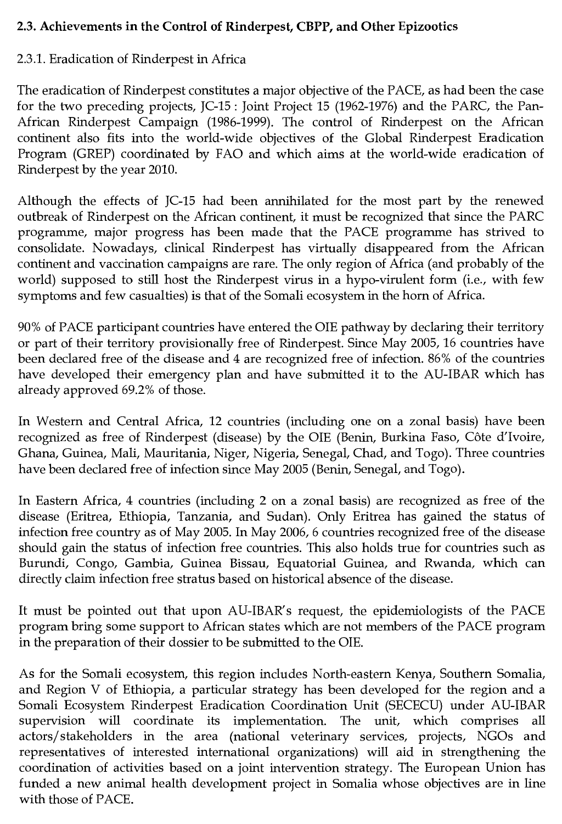### **2.3. Achievements in the Control of Rinderpest, CBPP, and Other Epizootics**

# 2.3.1. Eradication of Rinderpest in Africa

The eradication of Rinderpest constitutes a major objective of the PACE, as had been the case for the two preceding projects, JC-15 : Joint Project 15 (1962-1976) and the PARC, the Pan-African Rinderpest Campaign (1986-1999). The control of Rinderpest on the African continent also fits into the world-wide objectives of the Global Rinderpest Eradication Program (GREP) coordinated by FAO and which aims at the world-wide eradication of Rinderpest by the year 2010.

Although the effects of JC-15 had been annihilated for the most part by the renewed outbreak of Rinderpest on the African continent, it must be recognized that since the PARC programme, major progress has been made that the PACE programme has strived to consolidate. Nowadays, clinical Rinderpest has virtually disappeared from the African continent and vaccination campaigns are rare. The only region of Africa (and probably of the world) supposed to still host the Rinderpest virus in a hypo-virulent form (i.e., with few symptoms and few casualties) is that of the Somali ecosystem in the horn of Africa.

90% of PACE participant countries have entered the OIE pathway by declaring their territory or part of their territory provisionally free of Rinderpest. Since May 2005, 16 countries have been declared free of the disease and 4 are recognized free of infection. 86% of the countries have developed their emergency plan and have submitted it to the AU-IBAR which has already approved 69.2% of those.

In Western and Central Africa, 12 countries (including one on a zonal basis) have been recognized as free of Rinderpest (disease) by the OIE (Benin, Burkina Faso, Côte d'Ivoire, Ghana, Guinea, Mali, Mauritania, Niger, Nigeria, Senegal, Chad, and Togo). Three countries have been declared free of infection since May 2005 (Benin, Senegal, and Togo).

In Eastern Africa, 4 countries (including 2 on a zonal basis) are recognized as free of the disease (Eritrea, Ethiopia, Tanzania, and Sudan). Only Eritrea has gained the status of infection free country as of May 2005. In May 2006, 6 countries recognized free of the disease should gain the status of infection free countries. This also holds true for countries such as Burundi, Congo, Gambia, Guinea Bissau, Equatorial Guinea, and Rwanda, which can directly claim infection free stratus based on historical absence of the disease.

It must be pointed out that upon AU-IBAR's request, the epidemiologists of the PACE program bring some support to African states which are not members of the PACE program in the preparation of their dossier to be submitted to the OIE.

As for the Somali ecosystem, this region includes North-eastern Kenya, Southern Somalia, and Region V of Ethiopia, a particular strategy has been developed for the region and a Somali Ecosystem Rinderpest Eradication Coordination Unit (SECECU) under AU-IBAR supervision will coordinate its implementation. The unit, which comprises all actors/ stakeholders in the area (national veterinary services, projects, NGOs and representatives of interested international organizations) will aid in strengthening the coordination of activities based on a joint intervention strategy. The European Union has funded a new animal health development project in Somalia whose objectives are in line with those of PACE.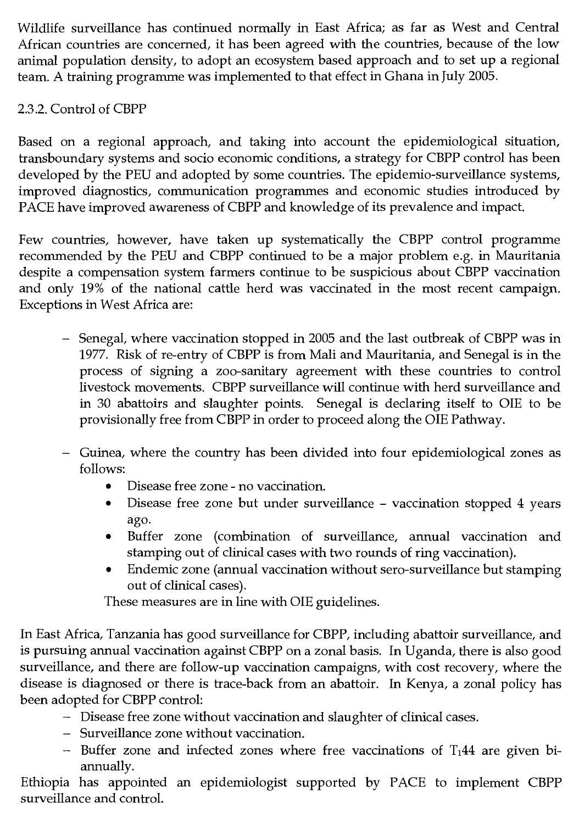Wildlife surveillance has continued normally in East Africa; as far as West and Central African countries are concerned, it has been agreed with the countries, because of the low animal population density, to adopt an ecosystem based approach and to set up a regional team. A training programme was implemented to that effect in Ghana in July 2005.

# 2.3.2. Control of CBPP

Based on a regional approach, and taking into account the epidemiological situation, transboundary systems and socio economic conditions, a strategy for CBPP control has been developed by the PEU and adopted by some countries. The epidemio-surveillance systems, improved diagnostics, communication programmes and economic studies introduced by PACE have improved awareness of CBPP and knowledge of its prevalence and impact.

Few countries, however, have taken up systematically the CBPP control programme recommended by the PEU and CBPP continued to be a major problem e.g. in Mauritania despite a compensation system farmers continue to be suspicious about CBPP vaccination and only 19% of the national cattle herd was vaccinated in the most recent campaign. Exceptions in West Africa are:

- Senegal, where vaccination stopped in 2005 and the last outbreak of CBPP was in 1977. Risk of re-entry of CBPP is from Mali and Mauritania, and Senegal is in the process of signing a zoo-sanitary agreement with these countries to control livestock movements. CBPP surveillance will continue with herd surveillance and in 30 abattoirs and slaughter points. Senegal is declaring itself to OIE to be provisionally free from CBPP in order to proceed along the OIE Pathway.
- Guinea, where the country has been divided into four epidemiological zones as follows:
	- Disease free zone no vaccination.
	- Disease free zone but under surveillance vaccination stopped 4 years ago.
	- Buffer zone (combination of surveillance, annual vaccination and stamping out of clinical cases with two rounds of ring vaccination).
	- Endemic zone (annual vaccination without sero-surveillance but stamping out of clinical cases).

These measures are in line with OIE guidelines.

In East Africa, Tanzania has good surveillance for CBPP, including abattoir surveillance, and is pursuing annual vaccination against CBPP on a zonal basis. In Uganda, there is also good surveillance, and there are follow-up vaccination campaigns, with cost recovery, where the disease is diagnosed or there is trace-back from an abattoir. In Kenya, a zonal policy has been adopted for CBPP control:

- Disease free zone without vaccination and slaughter of clinical cases.
- Surveillance zone without vaccination.
- $-$  Buffer zone and infected zones where free vaccinations of T<sub>1</sub>44 are given biannually.

Ethiopia has appointed an epidemiologist supported by PACE to implement CBPP surveillance and control.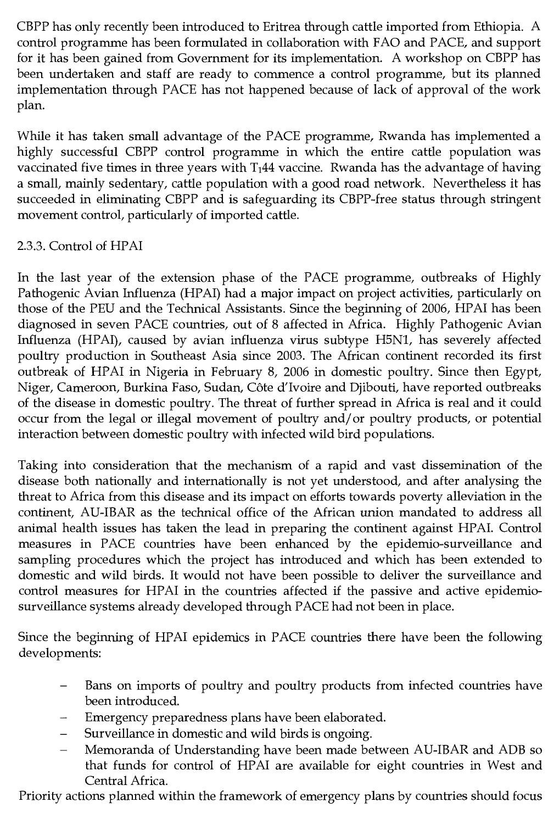CBPP has only recently been introduced to Eritrea through cattle imported from Ethiopia. A control programme has been formulated in collaboration with FAO and PACE, and support for it has been gained from Government for its implementation. A workshop on CBPP has been undertaken and staff are ready to commence a control programme, but its planned implementation through PACE has not happened because of lack of approval of the work plan.

While it has taken small advantage of the PACE programme, Rwanda has implemented a highly successful CBPP control programme in which the entire cattle population was vaccinated five times in three years with  $T_144$  vaccine. Rwanda has the advantage of having a small, mainly sedentary, cattle population with a good road network. Nevertheless it has succeeded in eliminating CBPP and is safeguarding its CBPP-free status through stringent movement control, particularly of imported cattle.

# 2.3.3. Control of HPAI

In the last year of the extension phase of the PACE programme, outbreaks of Highly Pathogenic Avian Influenza (HPAI) had a major impact on project activities, particularly on those of the PEU and the Technical Assistants. Since the beginning of 2006, HPAI has been diagnosed in seven PACE countries, out of 8 affected in Africa. Highly Pathogenic Avian Influenza (HPAI), caused by avian influenza virus subtype H5N1, has severely affected poultry production in Southeast Asia since 2003. The African continent recorded its first outbreak of HPAI in Nigeria in February 8, 2006 in domestic poultry. Since then Egypt, Niger, Cameroon, Burkina Faso, Sudan, COte d'Ivoire and Djibouti, have reported outbreaks of the disease in domestic poultry. The threat of further spread in Africa is real and it could occur from the legal or illegal movement of poultry and/or poultry products, or potential interaction between domestic poultry with infected wild bird populations.

Taking into consideration that the mechanism of a rapid and vast dissemination of the disease both nationally and internationally is not yet understood, and after analysing the threat to Africa from this disease and its impact on efforts towards poverty alleviation in the continent, AU-IBAR as the technical office of the African union mandated to address all animal health issues has taken the lead in preparing the continent against HPAI. Control measures in PACE countries have been enhanced by the epidemio-surveillance and sampling procedures which the project has introduced and which has been extended to domestic and wild birds. It would not have been possible to deliver the surveillance and control measures for HPAI in the countries affected if the passive and active epidemiosurveillance systems already developed through PACE had not been in place.

Since the beginning of HPAI epidemics in PACE countries there have been the following developments:

- Bans on imports of poultry and poultry products from infected countries have been introduced.
- Emergency preparedness plans have been elaborated.
- Surveillance in domestic and wild birds is ongoing.
- Memoranda of Understanding have been made between AU-IBAR and ADB so that funds for control of HPAI are available for eight countries in West and Central Africa.

Priority actions planned within the framework of emergency plans by countries should focus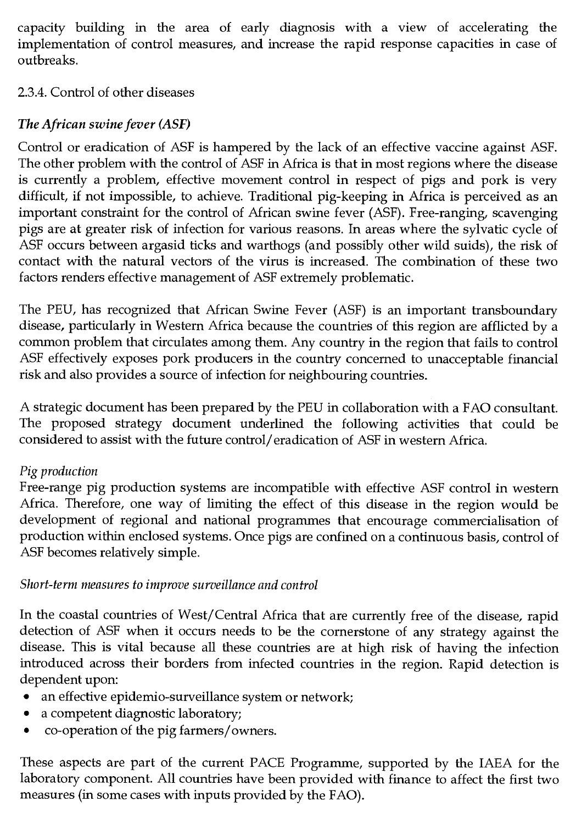capacity building in the area of early diagnosis with a view of accelerating the implementation of control measures, and increase the rapid response capacities in case of outbreaks.

### 2.3.4. Control of other diseases

# *The African swine fever (ASF)*

Control or eradication of ASF is hampered by the lack of an effective vaccine against ASF. The other problem with the control of ASF in Africa is that in most regions where the disease is currently a problem, effective movement control in respect of pigs and pork is very difficult, if not impossible, to achieve. Traditional pig-keeping in Africa is perceived as an important constraint for the control of African swine fever (ASF). Free-ranging, scavenging pigs are at greater risk of infection for various reasons. In areas where the sylvatic cycle of ASF occurs between argasid ticks and warthogs (and possibly other wild suids), the risk of contact with the natural vectors of the virus is increased. The combination of these two factors renders effective management of ASF extremely problematic.

The PEU, has recognized that African Swine Fever (ASF) is an important transboundary disease, particularly in Western Africa because the countries of this region are afflicted by a common problem that circulates among them. Any country in the region that fails to control ASF effectively exposes pork producers in the country concerned to unacceptable financial risk and also provides a source of infection for neighbouring countries.

A strategic document has been prepared by the PEU in collaboration with a FAO consultant. The proposed strategy document underlined the following activities that could be considered to assist with the future control/eradication of ASF in western Africa.

### *Pig production*

Free-range pig production systems are incompatible with effective ASF control in western Africa. Therefore, one way of limiting the effect of this disease in the region would be development of regional and national programmes that encourage commercialisation of production within enclosed systems. Once pigs are confined on a continuous basis, control of ASF becomes relatively simple.

### *Short-term measures to improve surveillance and control*

In the coastal countries of West/Central Africa that are currently free of the disease, rapid detection of ASF when it occurs needs to be the cornerstone of any strategy against the disease. This is vital because all these countries are at high risk of having the infection introduced across their borders from infected countries in the region. Rapid detection is dependent upon:

- an effective epidemio-surveillance system or network;
- a competent diagnostic laboratory;
- co-operation of the pig farmers/owners.

These aspects are part of the current PACE Programme, supported by the IAEA for the laboratory component. All countries have been provided with finance to affect the first two measures (in some cases with inputs provided by the FAO).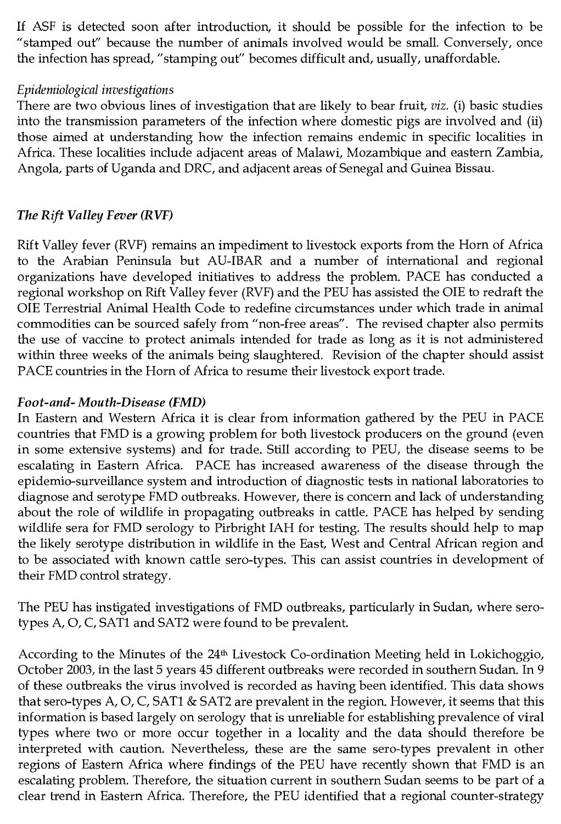If ASF is detected soon after introduction, it should be possible for the infection to be "stamped out" because the number of animals involved would be small. Conversely, once the infection has spread, "stamping out" becomes difficult and, usually, unaffordable.

#### *Epidemiological investigations*

There are two obvious lines of investigation that are likely to bear fruit, *viz.* (i) basic studies into the transmission parameters of the infection where domestic pigs are involved and (ii) those aimed at understanding how the infection remains endemic in specific localities in Africa. These localities include adjacent areas of Malawi, Mozambique and eastern Zambia, Angola, parts of Uganda and DRC, and adjacent areas of Senegal and Guinea Bissau.

### *The Rift Valley Fever (RVF)*

Rift Valley fever (RVF) remains an impediment to livestock exports from the Horn of Africa to the Arabian Peninsula but AU-IBAR and a number of international and regional organizations have developed initiatives to address the problem. PACE has conducted a regional workshop on Rift Valley fever (RVF) and the PEU has assisted the OIE to redraft the OIE Terrestrial Animal Health Code to redefine circumstances under which trade in animal commodities can be sourced safely from "non-free areas". The revised chapter also permits the use of vaccine to protect animals intended for trade as long as it is not administered within three weeks of the animals being slaughtered. Revision of the chapter should assist PACE countries in the Horn of Africa to resume their livestock export trade.

#### *Foot-and- Mouth-Disease (FMD)*

In Eastern and Western Africa it is clear from information gathered by the PEU in PACE countries that FMD is a growing problem for both livestock producers on the ground (even in some extensive systems) and for trade. Still according to PEU, the disease seems to be escalating in Eastern Africa. PACE has increased awareness of the disease through the epidemio-surveillance system and introduction of diagnostic tests in national laboratories to diagnose and serotype FMD outbreaks. However, there is concern and lack of understanding about the role of wildlife in propagating outbreaks in cattle. PACE has helped by sending wildlife sera for FMD serology to Pirbright IAH for testing. The results should help to map the likely serotype distribution in wildlife in the East, West and Central African region and to be associated with known cattle sero-types. This can assist countries in development of their FMD control strategy.

The PEU has instigated investigations of FMD outbreaks, particularly in Sudan, where serotypes A, 0, C, SAT1 and SAT2 were found to be prevalent.

According to the Minutes of the 24<sup>th</sup> Livestock Co-ordination Meeting held in Lokichoggio, October 2003, in the last 5 years 45 different outbreaks were recorded in southern Sudan. In 9 of these outbreaks the virus involved is recorded as having been identified. This data shows that sero-types A, 0, C, SAT1 & SAT2 are prevalent in the region. However, it seems that this information is based largely on serology that is unreliable for establishing prevalence of viral types where two or more occur together in a locality and the data should therefore be interpreted with caution. Nevertheless, these are the same sero-types prevalent in other regions of Eastern Africa where findings of the PEU have recently shown that FMD is an escalating problem. Therefore, the situation current in southern Sudan seems to be part of a clear trend in Eastern Africa. Therefore, the PEU identified that a regional counter-strategy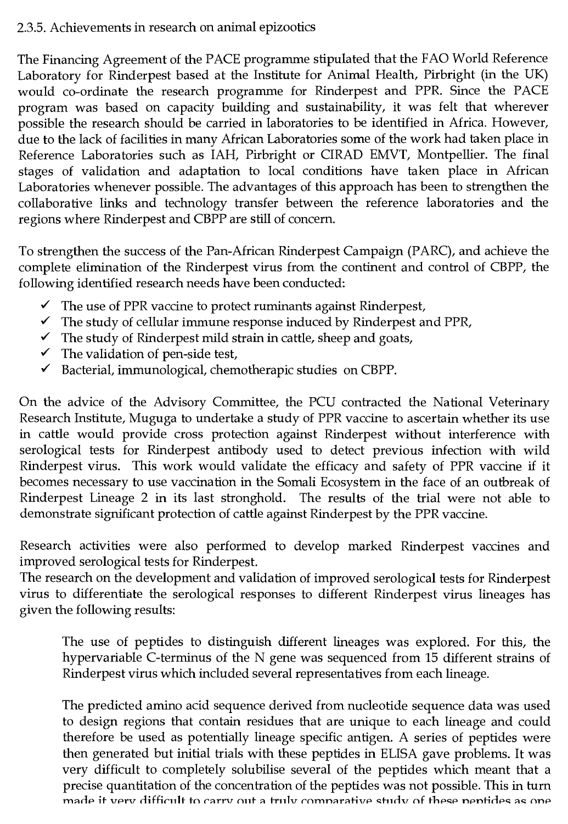### 2.3.5. Achievements in research on animal epizootics

The Financing Agreement of the PACE programme stipulated that the FAO World Reference Laboratory for Rinderpest based at the Institute for Animal Health, Pirbright (in the UK) would co-ordinate the research programme for Rinderpest and PPR. Since the PACE program was based on capacity building and sustainability, it was felt that wherever possible the research should be carried in laboratories to be identified in Africa. However, due to the lack of facilities in many African Laboratories some of the work had taken place in Reference Laboratories such as IAH, Pirbright or CIRAD EMVT, Montpellier. The final stages of validation and adaptation to local conditions have taken place in African Laboratories whenever possible. The advantages of this approach has been to strengthen the collaborative links and technology transfer between the reference laboratories and the regions where Rinderpest and CBPP are still of concern.

To strengthen the success of the Pan-African Rinderpest Campaign (PARC), and achieve the complete elimination of the Rinderpest virus from the continent and control of CBPP, the following identified research needs have been conducted:

- ✓ The use of PPR vaccine to protect ruminants against Rinderpest,
- ✓ The study of cellular immune response induced by Rinderpest and PPR,
- $\checkmark$  The study of Rinderpest mild strain in cattle, sheep and goats,
- $\checkmark$  The validation of pen-side test,
- $\checkmark$  Bacterial, immunological, chemotherapic studies on CBPP.

On the advice of the Advisory Committee, the PCU contracted the National Veterinary Research Institute, Muguga to undertake a study of PPR vaccine to ascertain whether its use in cattle would provide cross protection against Rinderpest without interference with serological tests for Rinderpest antibody used to detect previous infection with wild Rinderpest virus. This work would validate the efficacy and safety of PPR vaccine if it becomes necessary to use vaccination in the Somali Ecosystem in the face of an outbreak of Rinderpest Lineage 2 in its last stronghold. The results of the trial were not able to demonstrate significant protection of cattle against Rinderpest by the PPR vaccine.

Research activities were also performed to develop marked Rinderpest vaccines and improved serological tests for Rinderpest.

The research on the development and validation of improved serological tests for Rinderpest virus to differentiate the serological responses to different Rinderpest virus lineages has given the following results:

The use of peptides to distinguish different lineages was explored. For this, the hypervariable C-terminus of the N gene was sequenced from 15 different strains of Rinderpest virus which included several representatives from each lineage.

The predicted amino acid sequence derived from nucleotide sequence data was used to design regions that contain residues that are unique to each lineage and could therefore be used as potentially lineage specific antigen. A series of peptides were then generated but initial trials with these peptides in ELISA gave problems. It was very difficult to completely solubilise several of the peptides which meant that a precise quantitation of the concentration of the peptides was not possible. This in turn made it very difficult to carry out a truly comparative study of these pentides as one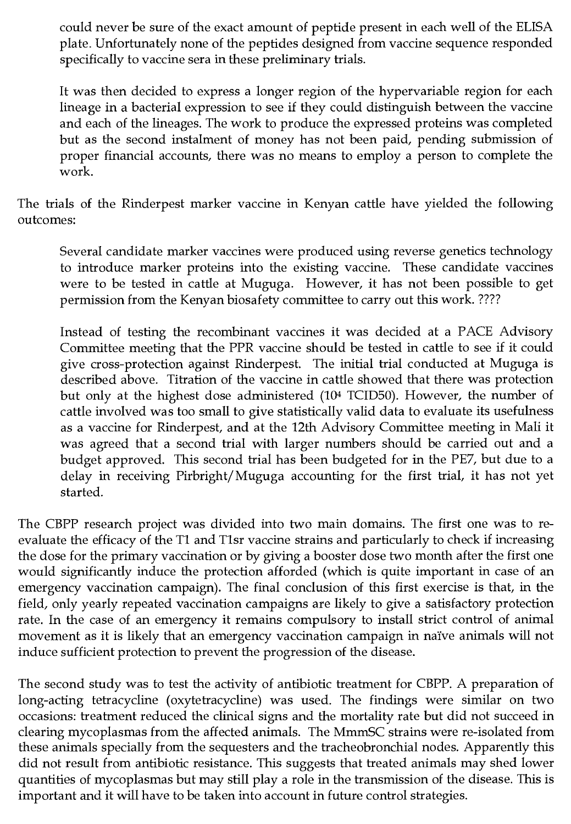could never be sure of the exact amount of peptide present in each well of the ELISA plate. Unfortunately none of the peptides designed from vaccine sequence responded specifically to vaccine sera in these preliminary trials.

It was then decided to express a longer region of the hypervariable region for each lineage in a bacterial expression to see if they could distinguish between the vaccine and each of the lineages. The work to produce the expressed proteins was completed but as the second instalment of money has not been paid, pending submission of proper financial accounts, there was no means to employ a person to complete the work.

The trials of the Rinderpest marker vaccine in Kenyan cattle have yielded the following outcomes:

Several candidate marker vaccines were produced using reverse genetics technology to introduce marker proteins into the existing vaccine. These candidate vaccines were to be tested in cattle at Muguga. However, it has not been possible to get permission from the Kenyan biosafety committee to carry out this work. ????

Instead of testing the recombinant vaccines it was decided at a PACE Advisory Committee meeting that the PPR vaccine should be tested in cattle to see if it could give cross-protection against Rinderpest. The initial trial conducted at Muguga is described above. Titration of the vaccine in cattle showed that there was protection but only at the highest dose administered (104 TCID50). However, the number of cattle involved was too small to give statistically valid data to evaluate its usefulness as a vaccine for Rinderpest, and at the 12th Advisory Committee meeting in Mali it was agreed that a second trial with larger numbers should be carried out and a budget approved. This second trial has been budgeted for in the PE7, but due to a delay in receiving Pirbright/Muguga accounting for the first trial, it has not yet started.

The CBPP research project was divided into two main domains. The first one was to reevaluate the efficacy of the T1 and T1sr vaccine strains and particularly to check if increasing the dose for the primary vaccination or by giving a booster dose two month after the first one would significantly induce the protection afforded (which is quite important in case of an emergency vaccination campaign). The final conclusion of this first exercise is that, in the field, only yearly repeated vaccination campaigns are likely to give a satisfactory protection rate. In the case of an emergency it remains compulsory to install strict control of animal movement as it is likely that an emergency vaccination campaign in naïve animals will not induce sufficient protection to prevent the progression of the disease.

The second study was to test the activity of antibiotic treatment for CBPP. A preparation of long-acting tetracycline (oxytetracycline) was used. The findings were similar on two occasions: treatment reduced the clinical signs and the mortality rate but did not succeed in clearing mycoplasmas from the affected animals. The MmmSC strains were re-isolated from these animals specially from the sequesters and the tracheobronchial nodes. Apparently this did not result from antibiotic resistance. This suggests that treated animals may shed lower quantities of mycoplasmas but may still play a role in the transmission of the disease. This is important and it will have to be taken into account in future control strategies.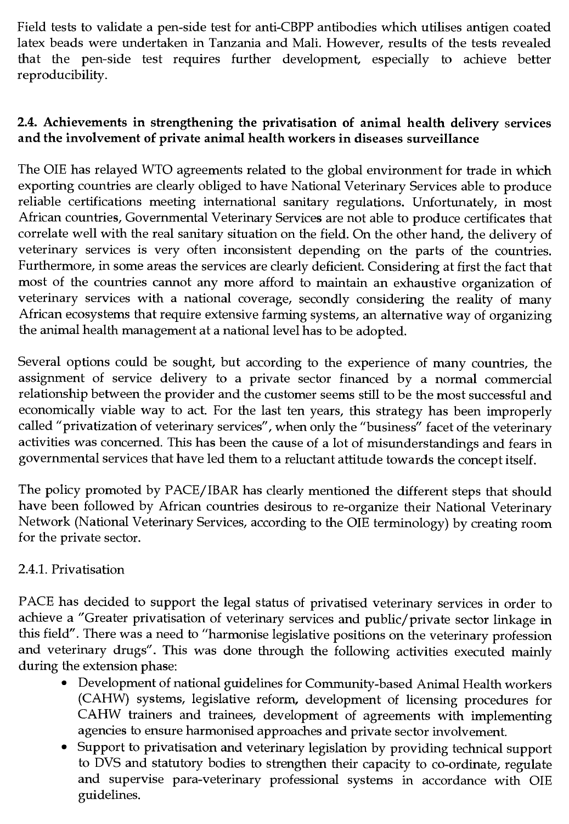Field tests to validate a pen-side test for anti-CBPP antibodies which utilises antigen coated latex beads were undertaken in Tanzania and Mali. However, results of the tests revealed that the pen-side test requires further development, especially to achieve better reproducibility.

# **2.4. Achievements in strengthening the privatisation of animal health delivery services and the involvement of private animal health workers in diseases surveillance**

The OIE has relayed WTO agreements related to the global environment for trade in which exporting countries are clearly obliged to have National Veterinary Services able to produce reliable certifications meeting international sanitary regulations. Unfortunately, in most African countries, Governmental Veterinary Services are not able to produce certificates that correlate well with the real sanitary situation on the field. On the other hand, the delivery of veterinary services is very often inconsistent depending on the parts of the countries. Furthermore, in some areas the services are clearly deficient. Considering at first the fact that most of the countries cannot any more afford to maintain an exhaustive organization of veterinary services with a national coverage, secondly considering the reality of many African ecosystems that require extensive farming systems, an alternative way of organizing the animal health management at a national level has to be adopted.

Several options could be sought, but according to the experience of many countries, the assignment of service delivery to a private sector financed by a normal commercial relationship between the provider and the customer seems still to be the most successful and economically viable way to act. For the last ten years, this strategy has been improperly called "privatization of veterinary services", when only the "business" facet of the veterinary activities was concerned. This has been the cause of a lot of misunderstandings and fears in governmental services that have led them to a reluctant attitude towards the concept itself.

The policy promoted by PACE/ IBAR has clearly mentioned the different steps that should have been followed by African countries desirous to re-organize their National Veterinary Network (National Veterinary Services, according to the OIE terminology) by creating room for the private sector.

# 2.4.1. Privatisation

PACE has decided to support the legal status of privatised veterinary services in order to achieve a "Greater privatisation of veterinary services and public/private sector linkage in this field". There was a need to "harmonise legislative positions on the veterinary profession and veterinary drugs". This was done through the following activities executed mainly during the extension phase:

- Development of national guidelines for Community-based Animal Health workers (CAHW) systems, legislative reform, development of licensing procedures for CAHW trainers and trainees, development of agreements with implementing agencies to ensure harmonised approaches and private sector involvement.
- Support to privatisation and veterinary legislation by providing technical support to DVS and statutory bodies to strengthen their capacity to co-ordinate, regulate and supervise para-veterinary professional systems in accordance with OIE guidelines.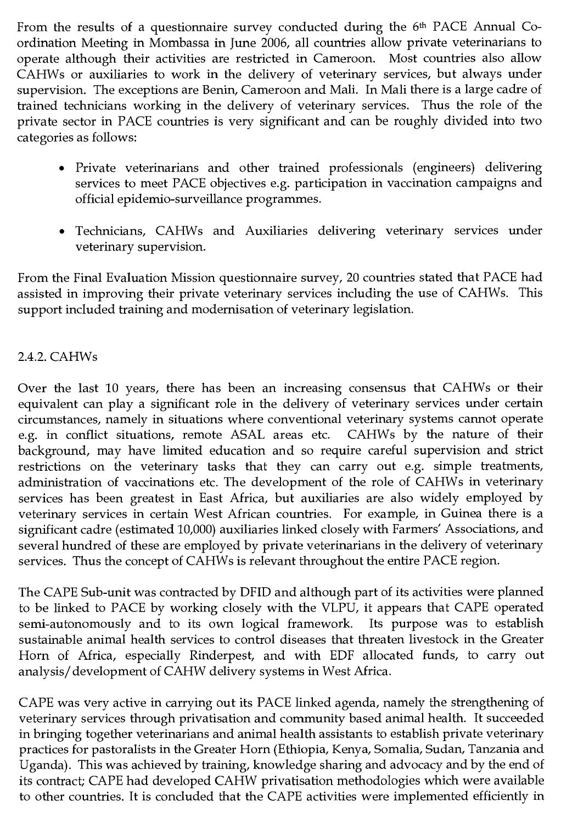From the results of a questionnaire survey conducted during the 6<sup>th</sup> PACE Annual Coordination Meeting in Mombassa in June 2006, all countries allow private veterinarians to operate although their activities are restricted in Cameroon. Most countries also allow CAHWs or auxiliaries to work in the delivery of veterinary services, but always under supervision. The exceptions are Benin, Cameroon and Mali. In Mali there is a large cadre of trained technicians working in the delivery of veterinary services. Thus the role of the private sector in PACE countries is very significant and can be roughly divided into two categories as follows:

- Private veterinarians and other trained professionals (engineers) delivering services to meet PACE objectives e.g. participation in vaccination campaigns and official epidemio-surveillance programmes.
- Technicians, CAHWs and Auxiliaries delivering veterinary services under veterinary supervision.

From the Final Evaluation Mission questionnaire survey, 20 countries stated that PACE had assisted in improving their private veterinary services including the use of CAHWs. This support included training and modernisation of veterinary legislation.

## 2.4.2. CAHWs

Over the last 10 years, there has been an increasing consensus that CAHWs or their equivalent can play a significant role in the delivery of veterinary services under certain circumstances, namely in situations where conventional veterinary systems cannot operate e.g. in conflict situations, remote ASAL areas etc. CAHWs by the nature of their background, may have limited education and so require careful supervision and strict restrictions on the veterinary tasks that they can carry out e.g. simple treatments, administration of vaccinations etc. The development of the role of CAHWs in veterinary services has been greatest in East Africa, but auxiliaries are also widely employed by veterinary services in certain West African countries. For example, in Guinea there is a significant cadre (estimated 10,000) auxiliaries linked closely with Farmers' Associations, and several hundred of these are employed by private veterinarians in the delivery of veterinary services. Thus the concept of CAHWs is relevant throughout the entire PACE region.

The CAPE Sub-unit was contracted by DFID and although part of its activities were planned to be linked to PACE by working closely with the VLPU, it appears that CAPE operated semi-autonomously and to its own logical framework. Its purpose was to establish sustainable animal health services to control diseases that threaten livestock in the Greater Horn of Africa, especially Rinderpest, and with EDF allocated funds, to carry out analysis/ development of CAHW delivery systems in West Africa.

CAPE was very active in carrying out its PACE linked agenda, namely the strengthening of veterinary services through privatisation and community based animal health. It succeeded in bringing together veterinarians and animal health assistants to establish private veterinary practices for pastoralists in the Greater Horn (Ethiopia, Kenya, Somalia, Sudan, Tanzania and Uganda). This was achieved by training, knowledge sharing and advocacy and by the end of its contract; CAPE had developed CAHW privatisation methodologies which were available to other countries. It is concluded that the CAPE activities were implemented efficiently in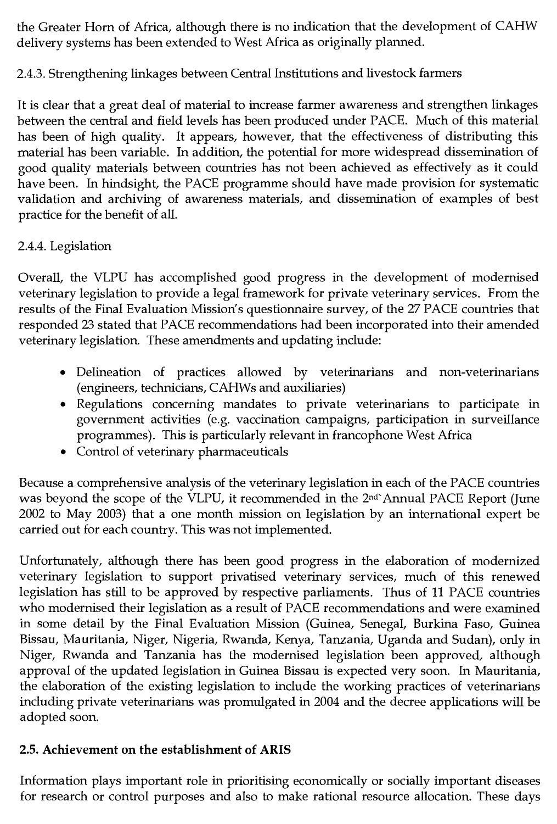the Greater Horn of Africa, although there is no indication that the development of CAHW delivery systems has been extended to West Africa as originally planned.

# 2.4.3. Strengthening linkages between Central Institutions and livestock farmers

It is clear that a great deal of material to increase farmer awareness and strengthen linkages between the central and field levels has been produced under PACE. Much of this material has been of high quality. It appears, however, that the effectiveness of distributing this material has been variable. In addition, the potential for more widespread dissemination of good quality materials between countries has not been achieved as effectively as it could have been. In hindsight, the PACE programme should have made provision for systematic validation and archiving of awareness materials, and dissemination of examples of best practice for the benefit of all.

# 2.4.4. Legislation

Overall, the VLPU has accomplished good progress in the development of modernised veterinary legislation to provide a legal framework for private veterinary services. From the results of the Final Evaluation Mission's questionnaire survey, of the 27 PACE countries that responded 23 stated that PACE recommendations had been incorporated into their amended veterinary legislation. These amendments and updating include:

- Delineation of practices allowed by veterinarians and non-veterinarians (engineers, technicians, CAHWs and auxiliaries)
- Regulations concerning mandates to private veterinarians to participate in government activities (e.g. vaccination campaigns, participation in surveillance programmes). This is particularly relevant in francophone West Africa
- Control of veterinary pharmaceuticals

Because a comprehensive analysis of the veterinary legislation in each of the PACE countries was beyond the scope of the VLPU, it recommended in the 2nd'Annual PACE Report (June 2002 to May 2003) that a one month mission on legislation by an international expert be carried out for each country. This was not implemented.

Unfortunately, although there has been good progress in the elaboration of modernized veterinary legislation to support privatised veterinary services, much of this renewed legislation has still to be approved by respective parliaments. Thus of 11 PACE countries who modernised their legislation as a result of PACE recommendations and were examined in some detail by the Final Evaluation Mission (Guinea, Senegal, Burkina Faso, Guinea Bissau, Mauritania, Niger, Nigeria, Rwanda, Kenya, Tanzania, Uganda and Sudan), only in Niger, Rwanda and Tanzania has the modernised legislation been approved, although approval of the updated legislation in Guinea Bissau is expected very soon. In Mauritania, the elaboration of the existing legislation to include the working practices of veterinarians including private veterinarians was promulgated in 2004 and the decree applications will be adopted soon.

# **2.5. Achievement on the establishment of ARIS**

Information plays important role in prioritising economically or socially important diseases for research or control purposes and also to make rational resource allocation. These days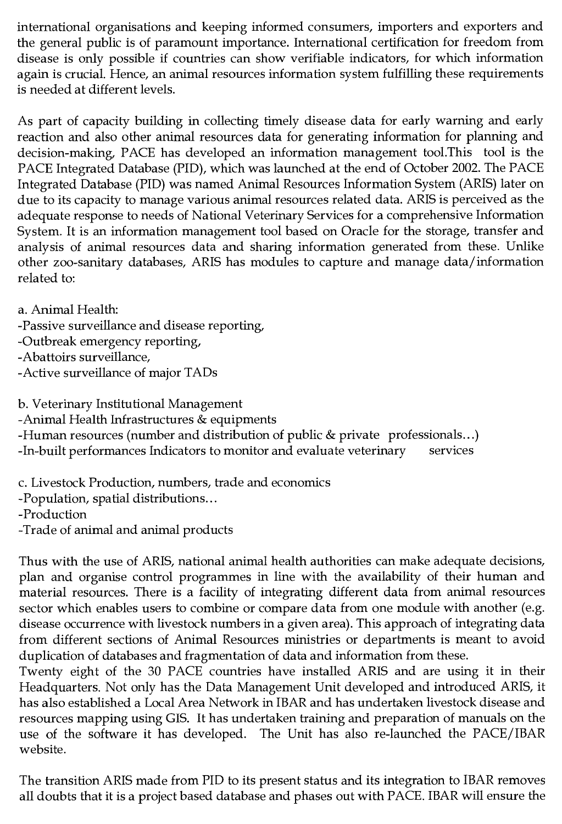international organisations and keeping informed consumers, importers and exporters and the general public is of paramount importance. International certification for freedom from disease is only possible if countries can show verifiable indicators, for which information again is crucial. Hence, an animal resources information system fulfilling these requirements is needed at different levels.

As part of capacity building in collecting timely disease data for early warning and early reaction and also other animal resources data for generating information for planning and decision-making, PACE has developed an information management tool.This tool is the PACE Integrated Database (PID), which was launched at the end of October 2002. The PACE Integrated Database (PID) was named Animal Resources Information System (ARIS) later on due to its capacity to manage various animal resources related data. ARIS is perceived as the adequate response to needs of National Veterinary Services for a comprehensive Information System. It is an information management tool based on Oracle for the storage, transfer and analysis of animal resources data and sharing information generated from these. Unlike other zoo-sanitary databases, ARIS has modules to capture and manage data/information related to:

a. Animal Health:

- -Passive surveillance and disease reporting,
- -Outbreak emergency reporting,
- -Abattoirs surveillance,
- -Active surveillance of major TADs

b. Veterinary Institutional Management

- -Animal Health Infrastructures & equipments
- -Human resources (number and distribution of public & private professionals...)
- -In-built performances Indicators to monitor and evaluate veterinary services

c. Livestock Production, numbers, trade and economics

-Population, spatial distributions...

-Production

-Trade of animal and animal products

Thus with the use of ARIS, national animal health authorities can make adequate decisions, plan and organise control programmes in line with the availability of their human and material resources. There is a facility of integrating different data from animal resources sector which enables users to combine or compare data from one module with another (e.g. disease occurrence with livestock numbers in a given area). This approach of integrating data from different sections of Animal Resources ministries or departments is meant to avoid duplication of databases and fragmentation of data and information from these.

Twenty eight of the 30 PACE countries have installed ARIS and are using it in their Headquarters. Not only has the Data Management Unit developed and introduced ARIS, it has also established a Local Area Network in IBAR and has undertaken livestock disease and resources mapping using GIS. It has undertaken training and preparation of manuals on the use of the software it has developed. The Unit has also re-launched the PACE/IBAR website.

The transition ARIS made from PID to its present status and its integration to IBAR removes all doubts that it is a project based database and phases out with PACE. IBAR will ensure the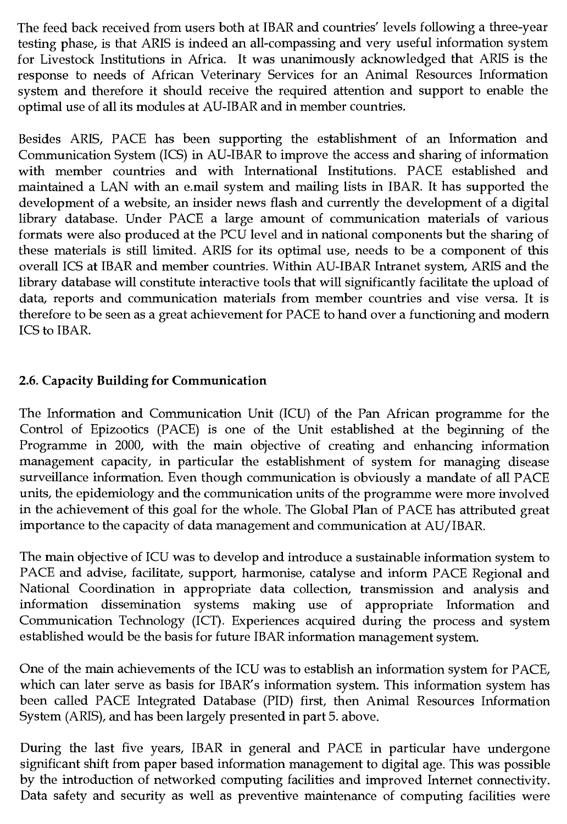The feed back received from users both at IBAR and countries' levels following a three-year testing phase, is that ARIS is indeed an all-compassing and very useful information system for Livestock Institutions in Africa. It was unanimously acknowledged that ARIS is the response to needs of African Veterinary Services for an Animal Resources Information system and therefore it should receive the required attention and support to enable the optimal use of all its modules at AU-IBAR and in member countries.

Besides ARIS, PACE has been supporting the establishment of an Information and Communication System (ICS) in AU-IBAR to improve the access and sharing of information with member countries and with International Institutions. PACE established and maintained a LAN with an e.mail system and mailing lists in IBAR. It has supported the development of a website, an insider news flash and currently the development of a digital library database. Under PACE a large amount of communication materials of various formats were also produced at the PCU level and in national components but the sharing of these materials is still limited. ARIS for its optimal use, needs to be a component of this overall ICS at IBAR and member countries. Within AU-IBAR Intranet system, ARIS and the library database will constitute interactive tools that will significantly facilitate the upload of data, reports and communication materials from member countries and vise versa. It is therefore to be seen as a great achievement for PACE to hand over a functioning and modern ICS to IBAR.

# **2.6. Capacity Building for Communication**

The Information and Communication Unit (ICU) of the Pan African programme for the Control of Epizootics (PACE) is one of the Unit established at the beginning of the Programme in 2000, with the main objective of creating and enhancing information management capacity, in particular the establishment of system for managing disease surveillance information. Even though communication is obviously a mandate of all PACE units, the epidemiology and the communication units of the programme were more involved in the achievement of this goal for the whole. The Global Plan of PACE has attributed great importance to the capacity of data management and communication at AU/IBAR.

The main objective of ICU was to develop and introduce a sustainable information system to PACE and advise, facilitate, support, harmonise, catalyse and inform PACE Regional and National Coordination in appropriate data collection, transmission and analysis and information dissemination systems making use of appropriate Information and Communication Technology (ICT). Experiences acquired during the process and system established would be the basis for future IBAR information management system.

One of the main achievements of the ICU was to establish an information system for PACE, which can later serve as basis for IBAR's information system. This information system has been called PACE Integrated Database (PID) first, then Animal Resources Information System (ARIS), and has been largely presented in part 5. above.

During the last five years, IBAR in general and PACE in particular have undergone significant shift from paper based information management to digital age. This was possible by the introduction of networked computing facilities and improved Internet connectivity. Data safety and security as well as preventive maintenance of computing facilities were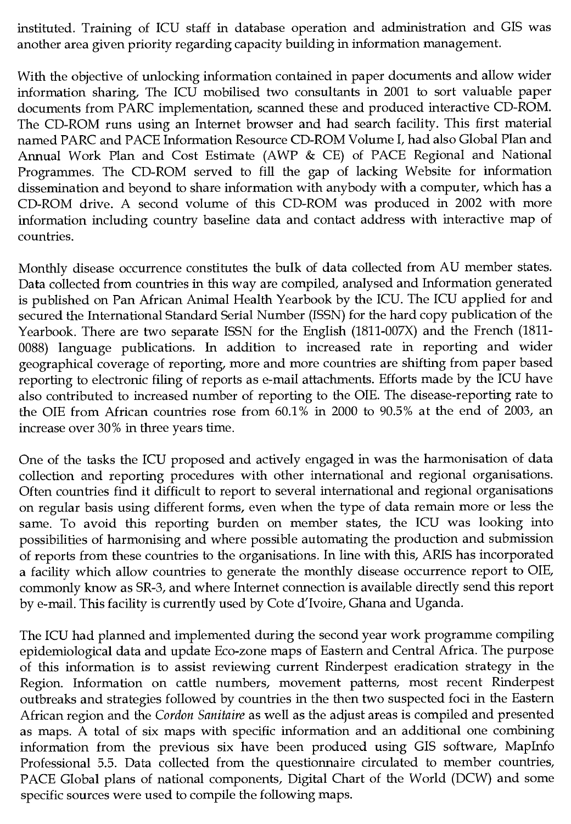instituted. Training of ICU staff in database operation and administration and GIS was another area given priority regarding capacity building in information management.

With the objective of unlocking information contained in paper documents and allow wider information sharing, The ICU mobilised two consultants in 2001 to sort valuable paper documents from PARC implementation, scanned these and produced interactive CD-ROM. The CD-ROM runs using an Internet browser and had search facility. This first material named PARC and PACE Information Resource CD-ROM Volume I, had also Global Plan and Annual Work Plan and Cost Estimate (AWP & CE) of PACE Regional and National Programmes. The CD-ROM served to fill the gap of lacking Website for information dissemination and beyond to share information with anybody with a computer, which has a CD-ROM drive. A second volume of this CD-ROM was produced in 2002 with more information including country baseline data and contact address with interactive map of countries.

Monthly disease occurrence constitutes the bulk of data collected from AU member states. Data collected from countries in this way are compiled, analysed and Information generated is published on Pan African Animal Health Yearbook by the ICU. The ICU applied for and secured the International Standard Serial Number (ISSN) for the hard copy publication of the Yearbook. There are two separate ISSN for the English (1811-007X) and the French (1811- 0088) language publications. In addition to increased rate in reporting and wider geographical coverage of reporting, more and more countries are shifting from paper based reporting to electronic filing of reports as e-mail attachments. Efforts made by the ICU have also contributed to increased number of reporting to the OIE. The disease-reporting rate to the OIE from African countries rose from 60.1% in 2000 to 90.5% at the end of 2003, an increase over 30% in three years time.

One of the tasks the ICU proposed and actively engaged in was the harmonisation of data collection and reporting procedures with other international and regional organisations. Often countries find it difficult to report to several international and regional organisations on regular basis using different forms, even when the type of data remain more or less the same. To avoid this reporting burden on member states, the ICU was looking into possibilities of harmonising and where possible automating the production and submission of reports from these countries to the organisations. In line with this, ARIS has incorporated a facility which allow countries to generate the monthly disease occurrence report to OIE, commonly know as SR-3, and where Internet connection is available directly send this report by e-mail. This facility is currently used by Cote d'Ivoire, Ghana and Uganda.

The ICU had planned and implemented during the second year work programme compiling epidemiological data and update Eco-zone maps of Eastern and Central Africa. The purpose of this information is to assist reviewing current Rinderpest eradication strategy in the Region. Information on cattle numbers, movement patterns, most recent Rinderpest outbreaks and strategies followed by countries in the then two suspected foci in the Eastern African region and the *Cordon Sanitaire* as well as the adjust areas is compiled and presented as maps. A total of six maps with specific information and an additional one combining information from the previous six have been produced using GIS software, Mapinfo Professional 5.5. Data collected from the questionnaire circulated to member countries, PACE Global plans of national components, Digital Chart of the World (DCW) and some specific sources were used to compile the following maps.